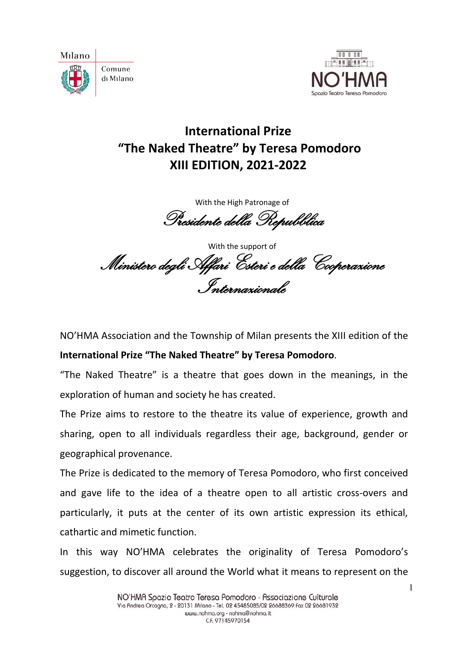



# **International Prize "The Naked Theatre" by Teresa Pomodoro XIII EDITION, 2021-2022**

With the High Patronage of Presidente della Repubblica

With the support of Ministero degli Affari Esteri e della Cooperazione Internazionale

NO'HMA Association and the Township of Milan presents the XIII edition of the **International Prize "The Naked Theatre" by Teresa Pomodoro**.

"The Naked Theatre" is a theatre that goes down in the meanings, in the exploration of human and society he has created.

The Prize aims to restore to the theatre its value of experience, growth and sharing, open to all individuals regardless their age, background, gender or geographical provenance.

The Prize is dedicated to the memory of Teresa Pomodoro, who first conceived and gave life to the idea of a theatre open to all artistic cross-overs and particularly, it puts at the center of its own artistic expression its ethical, cathartic and mimetic function.

In this way NO'HMA celebrates the originality of Teresa Pomodoro's suggestion, to discover all around the World what it means to represent on the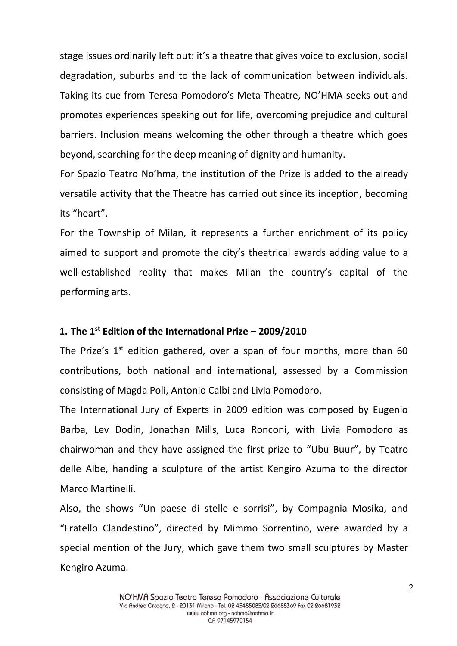stage issues ordinarily left out: it's a theatre that gives voice to exclusion, social degradation, suburbs and to the lack of communication between individuals. Taking its cue from Teresa Pomodoro's Meta-Theatre, NO'HMA seeks out and promotes experiences speaking out for life, overcoming prejudice and cultural barriers. Inclusion means welcoming the other through a theatre which goes beyond, searching for the deep meaning of dignity and humanity.

For Spazio Teatro No'hma, the institution of the Prize is added to the already versatile activity that the Theatre has carried out since its inception, becoming its "heart".

For the Township of Milan, it represents a further enrichment of its policy aimed to support and promote the city's theatrical awards adding value to a well-established reality that makes Milan the country's capital of the performing arts.

#### **1. The 1 st Edition of the International Prize – 2009/2010**

The Prize's  $1^{st}$  edition gathered, over a span of four months, more than 60 contributions, both national and international, assessed by a Commission consisting of Magda Poli, Antonio Calbi and Livia Pomodoro.

The International Jury of Experts in 2009 edition was composed by Eugenio Barba, Lev Dodin, Jonathan Mills, Luca Ronconi, with Livia Pomodoro as chairwoman and they have assigned the first prize to "Ubu Buur", by Teatro delle Albe, handing a sculpture of the artist Kengiro Azuma to the director Marco Martinelli.

Also, the shows "Un paese di stelle e sorrisi", by Compagnia Mosika, and "Fratello Clandestino", directed by Mimmo Sorrentino, were awarded by a special mention of the Jury, which gave them two small sculptures by Master Kengiro Azuma.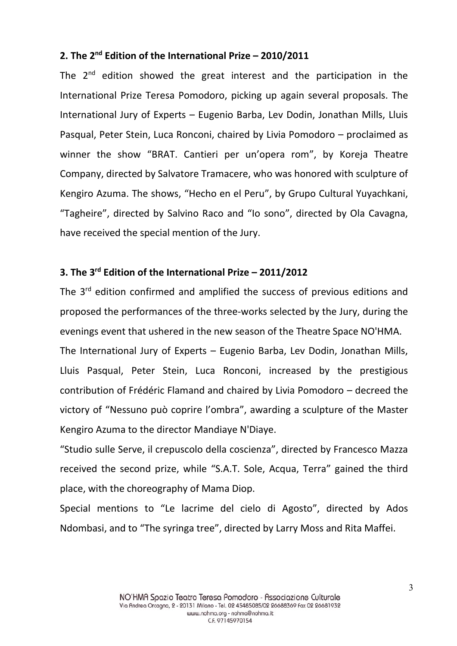## **2. The 2 nd Edition of the International Prize – 2010/2011**

The  $2^{nd}$  edition showed the great interest and the participation in the International Prize Teresa Pomodoro, picking up again several proposals. The International Jury of Experts – Eugenio Barba, Lev Dodin, Jonathan Mills, Lluis Pasqual, Peter Stein, Luca Ronconi, chaired by Livia Pomodoro – proclaimed as winner the show "BRAT. Cantieri per un'opera rom", by Koreja Theatre Company, directed by Salvatore Tramacere, who was honored with sculpture of Kengiro Azuma. The shows, "Hecho en el Peru", by Grupo Cultural Yuyachkani, "Tagheire", directed by Salvino Raco and "Io sono", directed by Ola Cavagna, have received the special mention of the Jury.

### **3. The 3 rd Edition of the International Prize – 2011/2012**

The 3<sup>rd</sup> edition confirmed and amplified the success of previous editions and proposed the performances of the three-works selected by the Jury, during the evenings event that ushered in the new season of the Theatre Space NO'HMA.

The International Jury of Experts – Eugenio Barba, Lev Dodin, Jonathan Mills, Lluis Pasqual, Peter Stein, Luca Ronconi, increased by the prestigious contribution of Frédéric Flamand and chaired by Livia Pomodoro – decreed the victory of "Nessuno può coprire l'ombra", awarding a sculpture of the Master Kengiro Azuma to the director Mandiaye N'Diaye.

"Studio sulle Serve, il crepuscolo della coscienza", directed by Francesco Mazza received the second prize, while "S.A.T. Sole, Acqua, Terra" gained the third place, with the choreography of Mama Diop.

Special mentions to "Le lacrime del cielo di Agosto", directed by Ados Ndombasi, and to "The syringa tree", directed by Larry Moss and Rita Maffei.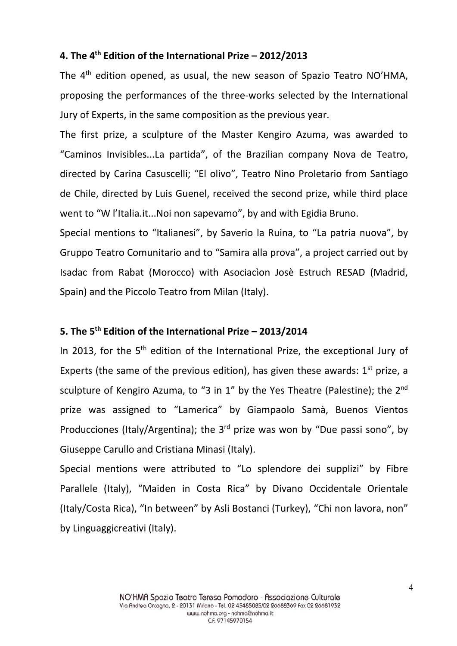#### **4. The 4 th Edition of the International Prize – 2012/2013**

The 4<sup>th</sup> edition opened, as usual, the new season of Spazio Teatro NO'HMA, proposing the performances of the three-works selected by the International Jury of Experts, in the same composition as the previous year.

The first prize, a sculpture of the Master Kengiro Azuma, was awarded to "Caminos Invisibles...La partida", of the Brazilian company Nova de Teatro, directed by Carina Casuscelli; "El olivo", Teatro Nino Proletario from Santiago de Chile, directed by Luis Guenel, received the second prize, while third place went to "W l'Italia.it...Noi non sapevamo", by and with Egidia Bruno.

Special mentions to "Italianesi", by Saverio la Ruina, to "La patria nuova", by Gruppo Teatro Comunitario and to "Samira alla prova", a project carried out by Isadac from Rabat (Morocco) with Asociacìon Josè Estruch RESAD (Madrid, Spain) and the Piccolo Teatro from Milan (Italy).

#### **5. The 5 th Edition of the International Prize – 2013/2014**

In 2013, for the 5<sup>th</sup> edition of the International Prize, the exceptional Jury of Experts (the same of the previous edition), has given these awards:  $1<sup>st</sup>$  prize, a sculpture of Kengiro Azuma, to "3 in 1" by the Yes Theatre (Palestine); the 2<sup>nd</sup> prize was assigned to "Lamerica" by Giampaolo Samà, Buenos Vientos Producciones (Italy/Argentina); the  $3<sup>rd</sup>$  prize was won by "Due passi sono", by Giuseppe Carullo and Cristiana Minasi (Italy).

Special mentions were attributed to "Lo splendore dei supplizi" by Fibre Parallele (Italy), "Maiden in Costa Rica" by Divano Occidentale Orientale (Italy/Costa Rica), "In between" by Asli Bostanci (Turkey), "Chi non lavora, non" by Linguaggicreativi (Italy).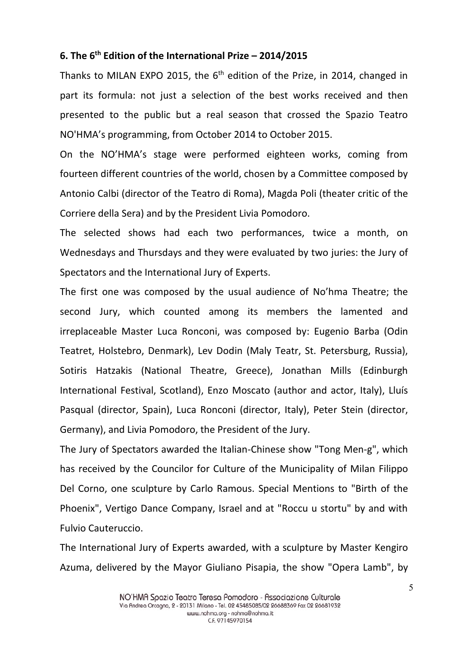#### **6. The 6 th Edition of the International Prize – 2014/2015**

Thanks to MILAN EXPO 2015, the 6<sup>th</sup> edition of the Prize, in 2014, changed in part its formula: not just a selection of the best works received and then presented to the public but a real season that crossed the Spazio Teatro NO'HMA's programming, from October 2014 to October 2015.

On the NO'HMA's stage were performed eighteen works, coming from fourteen different countries of the world, chosen by a Committee composed by Antonio Calbi (director of the Teatro di Roma), Magda Poli (theater critic of the Corriere della Sera) and by the President Livia Pomodoro.

The selected shows had each two performances, twice a month, on Wednesdays and Thursdays and they were evaluated by two juries: the Jury of Spectators and the International Jury of Experts.

The first one was composed by the usual audience of No'hma Theatre; the second Jury, which counted among its members the lamented and irreplaceable Master Luca Ronconi, was composed by: Eugenio Barba (Odin Teatret, Holstebro, Denmark), Lev Dodin (Maly Teatr, St. Petersburg, Russia), Sotiris Hatzakis (National Theatre, Greece), Jonathan Mills (Edinburgh International Festival, Scotland), Enzo Moscato (author and actor, Italy), Lluís Pasqual (director, Spain), Luca Ronconi (director, Italy), Peter Stein (director, Germany), and Livia Pomodoro, the President of the Jury.

The Jury of Spectators awarded the Italian-Chinese show "Tong Men-g", which has received by the Councilor for Culture of the Municipality of Milan Filippo Del Corno, one sculpture by Carlo Ramous. Special Mentions to "Birth of the Phoenix", Vertigo Dance Company, Israel and at "Roccu u stortu" by and with Fulvio Cauteruccio.

The International Jury of Experts awarded, with a sculpture by Master Kengiro Azuma, delivered by the Mayor Giuliano Pisapia, the show "Opera Lamb", by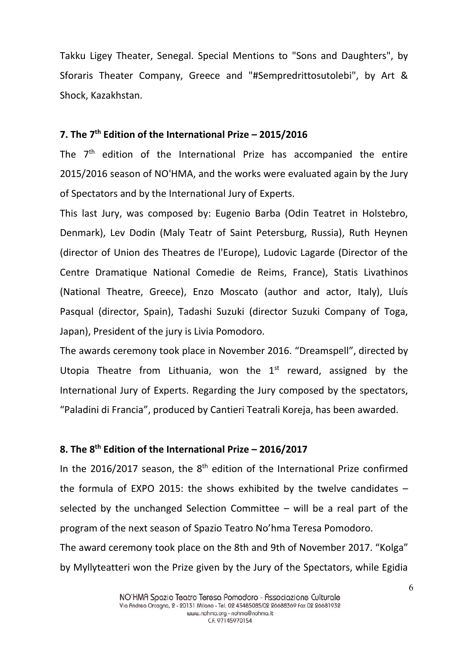Takku Ligey Theater, Senegal. Special Mentions to "Sons and Daughters", by Sforaris Theater Company, Greece and "#Sempredrittosutolebi", by Art & Shock, Kazakhstan.

#### **7. The 7 th Edition of the International Prize – 2015/2016**

The  $7<sup>th</sup>$  edition of the International Prize has accompanied the entire 2015/2016 season of NO'HMA, and the works were evaluated again by the Jury of Spectators and by the International Jury of Experts.

This last Jury, was composed by: Eugenio Barba (Odin Teatret in Holstebro, Denmark), Lev Dodin (Maly Teatr of Saint Petersburg, Russia), Ruth Heynen (director of Union des Theatres de l'Europe), Ludovic Lagarde (Director of the Centre Dramatique National Comedie de Reims, France), Statis Livathinos (National Theatre, Greece), Enzo Moscato (author and actor, Italy), Lluís Pasqual (director, Spain), Tadashi Suzuki (director Suzuki Company of Toga, Japan), President of the jury is Livia Pomodoro.

The awards ceremony took place in November 2016. "Dreamspell", directed by Utopia Theatre from Lithuania, won the  $1<sup>st</sup>$  reward, assigned by the International Jury of Experts. Regarding the Jury composed by the spectators, "Paladini di Francia", produced by Cantieri Teatrali Koreja, has been awarded.

#### **8. The 8 th Edition of the International Prize – 2016/2017**

In the 2016/2017 season, the  $8<sup>th</sup>$  edition of the International Prize confirmed the formula of EXPO 2015: the shows exhibited by the twelve candidates  $$ selected by the unchanged Selection Committee – will be a real part of the program of the next season of Spazio Teatro No'hma Teresa Pomodoro. The award ceremony took place on the 8th and 9th of November 2017. "Kolga" by Myllyteatteri won the Prize given by the Jury of the Spectators, while Egidia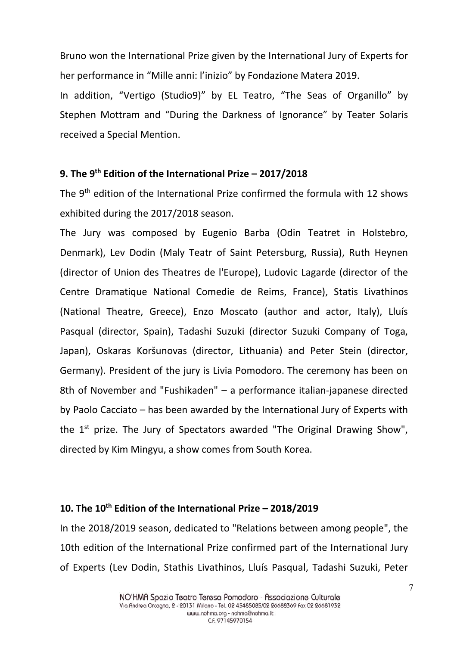Bruno won the International Prize given by the International Jury of Experts for her performance in "Mille anni: l'inizio" by Fondazione Matera 2019.

In addition, "Vertigo (Studio9)" by EL Teatro, "The Seas of Organillo" by Stephen Mottram and "During the Darkness of Ignorance" by Teater Solaris received a Special Mention.

#### **9. The 9 th Edition of the International Prize – 2017/2018**

The 9<sup>th</sup> edition of the International Prize confirmed the formula with 12 shows exhibited during the 2017/2018 season.

The Jury was composed by Eugenio Barba (Odin Teatret in Holstebro, Denmark), Lev Dodin (Maly Teatr of Saint Petersburg, Russia), Ruth Heynen (director of Union des Theatres de l'Europe), Ludovic Lagarde (director of the Centre Dramatique National Comedie de Reims, France), Statis Livathinos (National Theatre, Greece), Enzo Moscato (author and actor, Italy), Lluís Pasqual (director, Spain), Tadashi Suzuki (director Suzuki Company of Toga, Japan), Oskaras Koršunovas (director, Lithuania) and Peter Stein (director, Germany). President of the jury is Livia Pomodoro. The ceremony has been on 8th of November and "Fushikaden" – a performance italian-japanese directed by Paolo Cacciato – has been awarded by the International Jury of Experts with the 1<sup>st</sup> prize. The Jury of Spectators awarded "The Original Drawing Show", directed by Kim Mingyu, a show comes from South Korea.

# **10. The 10th Edition of the International Prize – 2018/2019**

In the 2018/2019 season, dedicated to "Relations between among people", the 10th edition of the International Prize confirmed part of the International Jury of Experts (Lev Dodin, Stathis Livathinos, Lluís Pasqual, Tadashi Suzuki, Peter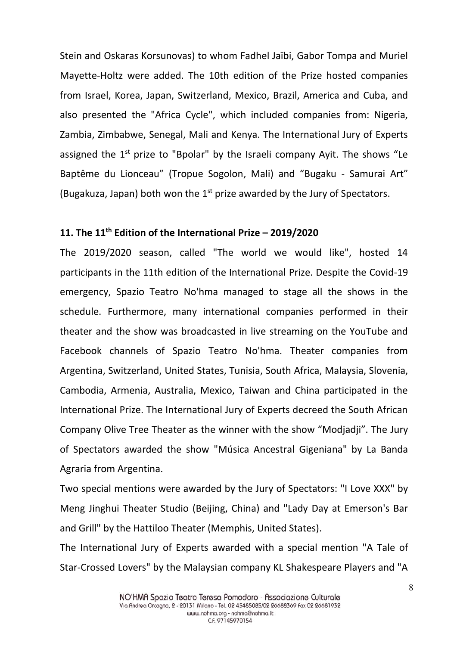Stein and Oskaras Korsunovas) to whom Fadhel Jaïbi, Gabor Tompa and Muriel Mayette-Holtz were added. The 10th edition of the Prize hosted companies from Israel, Korea, Japan, Switzerland, Mexico, Brazil, America and Cuba, and also presented the "Africa Cycle", which included companies from: Nigeria, Zambia, Zimbabwe, Senegal, Mali and Kenya. The International Jury of Experts assigned the 1<sup>st</sup> prize to "Bpolar" by the Israeli company Ayit. The shows "Le Baptême du Lionceau" (Tropue Sogolon, Mali) and "Bugaku - Samurai Art" (Bugakuza, Japan) both won the  $1<sup>st</sup>$  prize awarded by the Jury of Spectators.

# **11. The 11th Edition of the International Prize – 2019/2020**

The 2019/2020 season, called "The world we would like", hosted 14 participants in the 11th edition of the International Prize. Despite the Covid-19 emergency, Spazio Teatro No'hma managed to stage all the shows in the schedule. Furthermore, many international companies performed in their theater and the show was broadcasted in live streaming on the YouTube and Facebook channels of Spazio Teatro No'hma. Theater companies from Argentina, Switzerland, United States, Tunisia, South Africa, Malaysia, Slovenia, Cambodia, Armenia, Australia, Mexico, Taiwan and China participated in the International Prize. The International Jury of Experts decreed the South African Company Olive Tree Theater as the winner with the show "Modjadji". The Jury of Spectators awarded the show "Música Ancestral Gigeniana" by La Banda Agraria from Argentina.

Two special mentions were awarded by the Jury of Spectators: "I Love XXX" by Meng Jinghui Theater Studio (Beijing, China) and "Lady Day at Emerson's Bar and Grill" by the Hattiloo Theater (Memphis, United States).

The International Jury of Experts awarded with a special mention "A Tale of Star-Crossed Lovers" by the Malaysian company KL Shakespeare Players and "A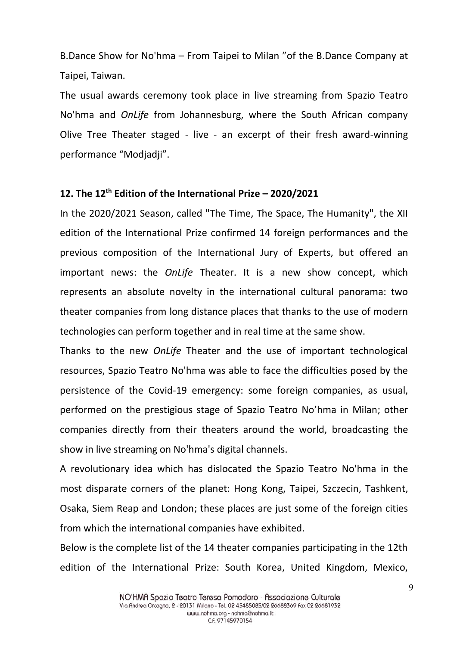B.Dance Show for No'hma – From Taipei to Milan "of the B.Dance Company at Taipei, Taiwan.

The usual awards ceremony took place in live streaming from Spazio Teatro No'hma and *OnLife* from Johannesburg, where the South African company Olive Tree Theater staged - live - an excerpt of their fresh award-winning performance "Modjadji".

#### **12. The 12th Edition of the International Prize – 2020/2021**

In the 2020/2021 Season, called "The Time, The Space, The Humanity", the XII edition of the International Prize confirmed 14 foreign performances and the previous composition of the International Jury of Experts, but offered an important news: the *OnLife* Theater. It is a new show concept, which represents an absolute novelty in the international cultural panorama: two theater companies from long distance places that thanks to the use of modern technologies can perform together and in real time at the same show.

Thanks to the new *OnLife* Theater and the use of important technological resources, Spazio Teatro No'hma was able to face the difficulties posed by the persistence of the Covid-19 emergency: some foreign companies, as usual, performed on the prestigious stage of Spazio Teatro No'hma in Milan; other companies directly from their theaters around the world, broadcasting the show in live streaming on No'hma's digital channels.

A revolutionary idea which has dislocated the Spazio Teatro No'hma in the most disparate corners of the planet: Hong Kong, Taipei, Szczecin, Tashkent, Osaka, Siem Reap and London; these places are just some of the foreign cities from which the international companies have exhibited.

Below is the complete list of the 14 theater companies participating in the 12th edition of the International Prize: South Korea, United Kingdom, Mexico,